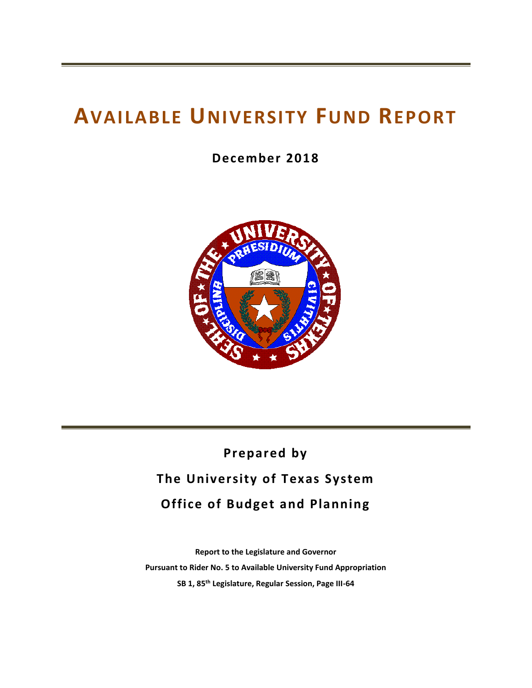# **AVAILABLE UNIVERSITY FUND REPORT**

**December 2018**



# **Prepared by The University of Texas System Office of Budget and Planning**

**Report to the Legislature and Governor Pursuant to Rider No. 5 to Available University Fund Appropriation SB 1, 85 th Legislature, Regular Session, Page III-64**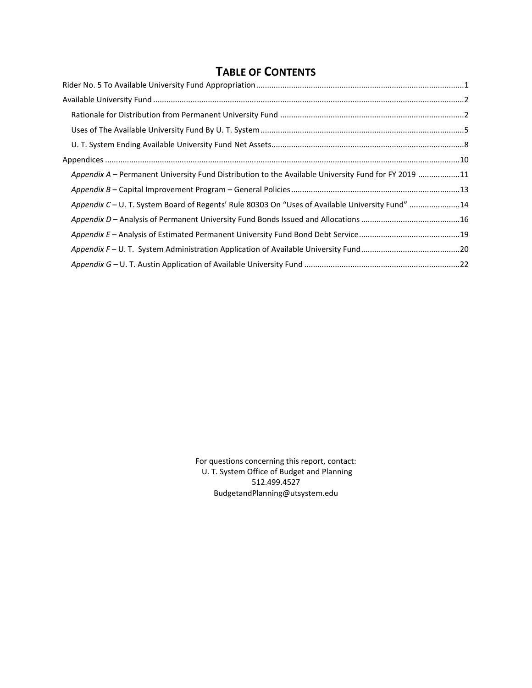## **TABLE OF CONTENTS**

| Appendix A – Permanent University Fund Distribution to the Available University Fund for FY 2019 11 |  |
|-----------------------------------------------------------------------------------------------------|--|
|                                                                                                     |  |
| Appendix C - U. T. System Board of Regents' Rule 80303 On "Uses of Available University Fund" 14    |  |
|                                                                                                     |  |
|                                                                                                     |  |
|                                                                                                     |  |
|                                                                                                     |  |

For questions concerning this report, contact: U. T. System Office of Budget and Planning 512.499.4527 BudgetandPlanning@utsystem.edu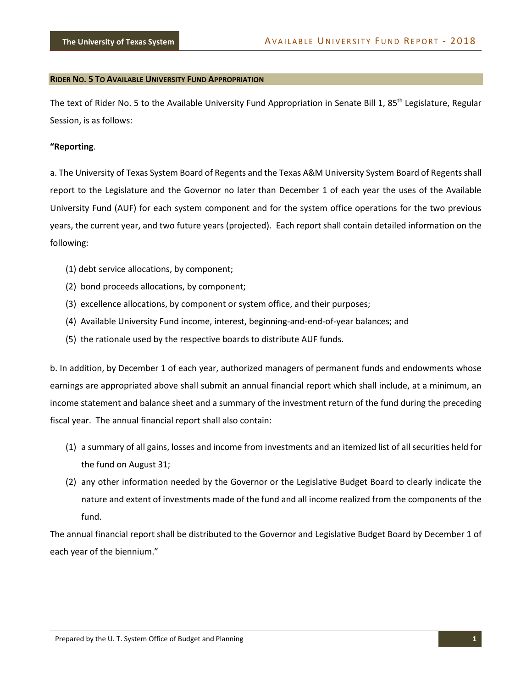#### <span id="page-3-0"></span>**RIDER NO. 5 TO AVAILABLE UNIVERSITY FUND APPROPRIATION**

The text of Rider No. 5 to the Available University Fund Appropriation in Senate Bill 1, 85<sup>th</sup> Legislature, Regular Session, is as follows:

#### **"Reporting**.

a. The University of Texas System Board of Regents and the Texas A&M University System Board of Regents shall report to the Legislature and the Governor no later than December 1 of each year the uses of the Available University Fund (AUF) for each system component and for the system office operations for the two previous years, the current year, and two future years (projected). Each report shall contain detailed information on the following:

- (1) debt service allocations, by component;
- (2) bond proceeds allocations, by component;
- (3) excellence allocations, by component or system office, and their purposes;
- (4) Available University Fund income, interest, beginning-and-end-of-year balances; and
- (5) the rationale used by the respective boards to distribute AUF funds.

b. In addition, by December 1 of each year, authorized managers of permanent funds and endowments whose earnings are appropriated above shall submit an annual financial report which shall include, at a minimum, an income statement and balance sheet and a summary of the investment return of the fund during the preceding fiscal year. The annual financial report shall also contain:

- (1) a summary of all gains, losses and income from investments and an itemized list of all securities held for the fund on August 31;
- (2) any other information needed by the Governor or the Legislative Budget Board to clearly indicate the nature and extent of investments made of the fund and all income realized from the components of the fund.

The annual financial report shall be distributed to the Governor and Legislative Budget Board by December 1 of each year of the biennium."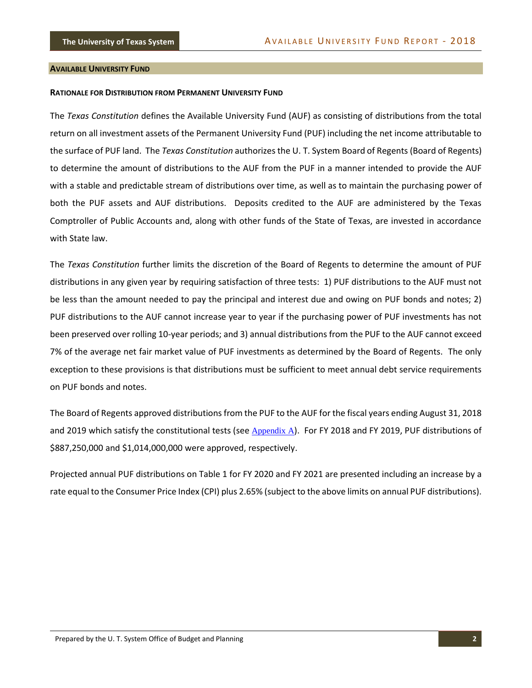#### <span id="page-4-0"></span>**AVAILABLE UNIVERSITY FUND**

#### <span id="page-4-1"></span>**RATIONALE FOR DISTRIBUTION FROM PERMANENT UNIVERSITY FUND**

The *Texas Constitution* defines the Available University Fund (AUF) as consisting of distributions from the total return on all investment assets of the Permanent University Fund (PUF) including the net income attributable to the surface of PUF land. The *Texas Constitution* authorizes the U. T. System Board of Regents (Board of Regents) to determine the amount of distributions to the AUF from the PUF in a manner intended to provide the AUF with a stable and predictable stream of distributions over time, as well as to maintain the purchasing power of both the PUF assets and AUF distributions. Deposits credited to the AUF are administered by the Texas Comptroller of Public Accounts and, along with other funds of the State of Texas, are invested in accordance with State law.

The *Texas Constitution* further limits the discretion of the Board of Regents to determine the amount of PUF distributions in any given year by requiring satisfaction of three tests: 1) PUF distributions to the AUF must not be less than the amount needed to pay the principal and interest due and owing on PUF bonds and notes; 2) PUF distributions to the AUF cannot increase year to year if the purchasing power of PUF investments has not been preserved over rolling 10-year periods; and 3) annual distributions from the PUF to the AUF cannot exceed 7% of the average net fair market value of PUF investments as determined by the Board of Regents. The only exception to these provisions is that distributions must be sufficient to meet annual debt service requirements on PUF bonds and notes.

The Board of Regents approved distributions from the PUF to the AUF for the fiscal years ending August 31, 2018 and 2019 which satisfy the constitutional tests (see Appendix A). For FY 2018 and FY 2019, PUF distributions of \$887,250,000 and \$1,014,000,000 were approved, respectively.

Projected annual PUF distributions on Table 1 for FY 2020 and FY 2021 are presented including an increase by a rate equal to the Consumer Price Index (CPI) plus 2.65% (subject to the above limits on annual PUF distributions).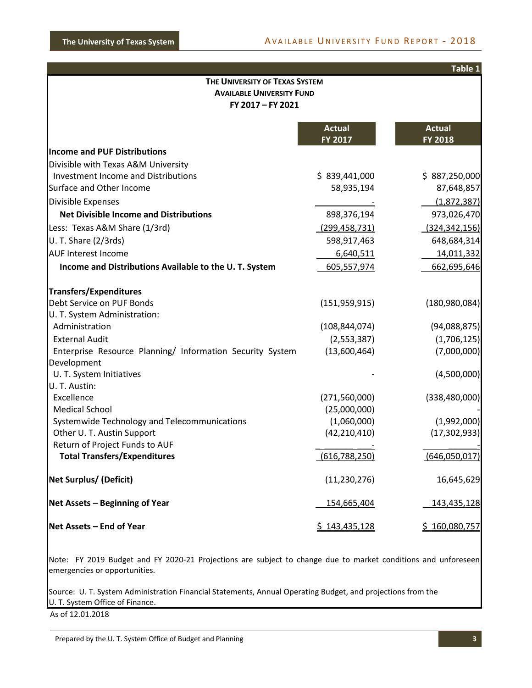|                                                                            |                                | Table 1                         |  |  |  |  |
|----------------------------------------------------------------------------|--------------------------------|---------------------------------|--|--|--|--|
|                                                                            | THE UNIVERSITY OF TEXAS SYSTEM |                                 |  |  |  |  |
| <b>AVAILABLE UNIVERSITY FUND</b><br>FY 2017 - FY 2021                      |                                |                                 |  |  |  |  |
|                                                                            |                                |                                 |  |  |  |  |
|                                                                            | <b>Actual</b><br>FY 2017       | <b>Actual</b><br><b>FY 2018</b> |  |  |  |  |
| <b>Income and PUF Distributions</b>                                        |                                |                                 |  |  |  |  |
| Divisible with Texas A&M University                                        |                                |                                 |  |  |  |  |
| <b>Investment Income and Distributions</b>                                 | \$839,441,000                  | \$887,250,000                   |  |  |  |  |
| Surface and Other Income                                                   | 58,935,194                     | 87,648,857                      |  |  |  |  |
| Divisible Expenses                                                         |                                | (1,872,387)                     |  |  |  |  |
| <b>Net Divisible Income and Distributions</b>                              | 898,376,194                    | 973,026,470                     |  |  |  |  |
| Less: Texas A&M Share (1/3rd)                                              | (299, 458, 731)                | (324, 342, 156)                 |  |  |  |  |
| U. T. Share (2/3rds)                                                       | 598,917,463                    | 648,684,314                     |  |  |  |  |
| <b>AUF Interest Income</b>                                                 | 6,640,511                      | 14,011,332                      |  |  |  |  |
| Income and Distributions Available to the U.T. System                      | 605,557,974                    | 662,695,646                     |  |  |  |  |
|                                                                            |                                |                                 |  |  |  |  |
| <b>Transfers/Expenditures</b>                                              |                                |                                 |  |  |  |  |
| Debt Service on PUF Bonds                                                  | (151, 959, 915)                | (180, 980, 084)                 |  |  |  |  |
| U. T. System Administration:                                               |                                |                                 |  |  |  |  |
| Administration                                                             | (108, 844, 074)                | (94,088,875)                    |  |  |  |  |
| <b>External Audit</b>                                                      | (2,553,387)                    | (1,706,125)                     |  |  |  |  |
| Enterprise Resource Planning/ Information Security System                  | (13,600,464)                   | (7,000,000)                     |  |  |  |  |
| Development                                                                |                                |                                 |  |  |  |  |
| U. T. System Initiatives                                                   |                                | (4,500,000)                     |  |  |  |  |
| U. T. Austin:                                                              |                                |                                 |  |  |  |  |
| Excellence                                                                 | (271, 560, 000)                | (338, 480, 000)                 |  |  |  |  |
| <b>Medical School</b>                                                      | (25,000,000)<br>(1,060,000)    |                                 |  |  |  |  |
| Systemwide Technology and Telecommunications<br>Other U. T. Austin Support | (42, 210, 410)                 | (1,992,000)<br>(17, 302, 933)   |  |  |  |  |
| Return of Project Funds to AUF                                             |                                |                                 |  |  |  |  |
| <b>Total Transfers/Expenditures</b>                                        | (616, 788, 250)                | (646,050,017)                   |  |  |  |  |
|                                                                            |                                |                                 |  |  |  |  |
| <b>Net Surplus/ (Deficit)</b>                                              | (11, 230, 276)                 | 16,645,629                      |  |  |  |  |
| Net Assets - Beginning of Year                                             | 154,665,404                    | 143,435,128                     |  |  |  |  |
| Net Assets - End of Year                                                   | \$143,435,128                  | \$160,080,757                   |  |  |  |  |
|                                                                            |                                |                                 |  |  |  |  |

Note: FY 2019 Budget and FY 2020-21 Projections are subject to change due to market conditions and unforeseen emergencies or opportunities.

Source: U. T. System Administration Financial Statements, Annual Operating Budget, and projections from the U. T. System Office of Finance.

As of 12.01.2018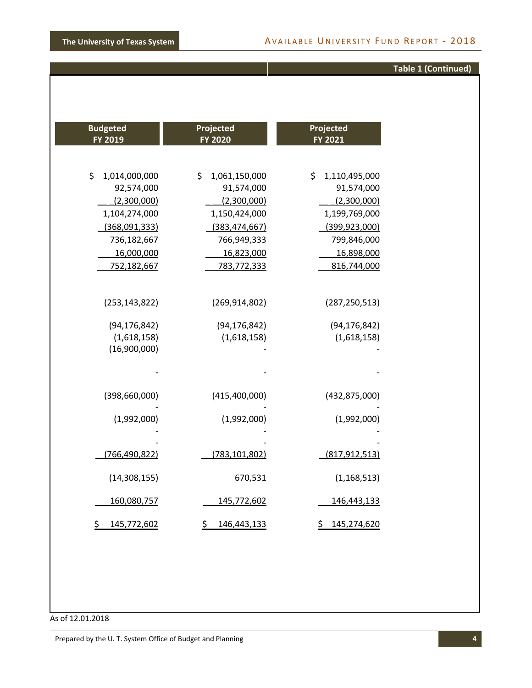### **Table 1 (Continued)**

| <b>Budgeted</b>                                                  | Projected                                        | Projected                                    |
|------------------------------------------------------------------|--------------------------------------------------|----------------------------------------------|
| FY 2019                                                          | <b>FY 2020</b>                                   | FY 2021                                      |
| \$                                                               | \$                                               | \$                                           |
| 1,014,000,000                                                    | 1,061,150,000                                    | 1,110,495,000                                |
| 92,574,000                                                       | 91,574,000                                       | 91,574,000                                   |
| (2,300,000)                                                      | (2,300,000)                                      | (2,300,000)                                  |
| 1,104,274,000                                                    | 1,150,424,000                                    | 1,199,769,000                                |
| (368,091,333)                                                    | (383, 474, 667)                                  | (399, 923, 000)                              |
| 736,182,667                                                      | 766,949,333                                      | 799,846,000                                  |
| 16,000,000<br>752,182,667                                        | 16,823,000<br>783,772,333                        | 16,898,000<br>816,744,000<br>(287, 250, 513) |
| (253, 143, 822)<br>(94, 176, 842)<br>(1,618,158)<br>(16,900,000) | (269, 914, 802)<br>(94, 176, 842)<br>(1,618,158) | (94, 176, 842)<br>(1,618,158)                |
| (398, 660, 000)                                                  | (415, 400, 000)                                  | (432, 875, 000)                              |
| (1,992,000)                                                      | (1,992,000)                                      | (1,992,000)                                  |
| (766, 490, 822)                                                  | (783, 101, 802)                                  | (817, 912, 513)                              |
| (14, 308, 155)                                                   | 670,531                                          | (1, 168, 513)                                |
| 160,080,757<br>\$<br>145,772,602                                 | 145,772,602<br><u>\$</u><br>146,443,133          | 146,443,133<br>\$145,274,620                 |

As of 12.01.2018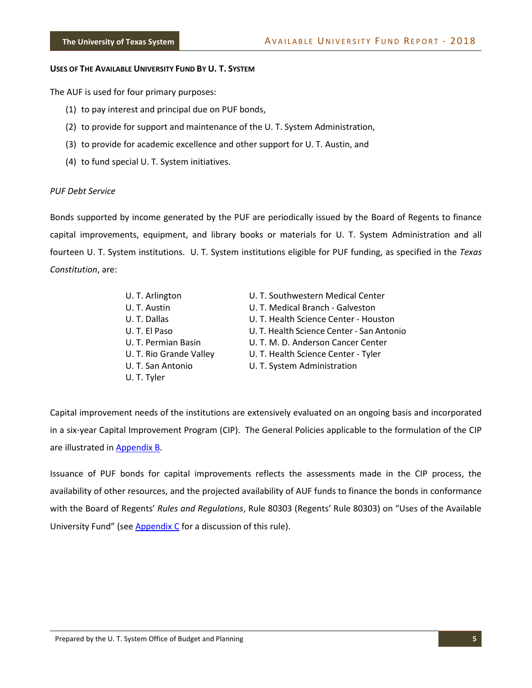#### <span id="page-7-0"></span>**USES OF THE AVAILABLE UNIVERSITY FUND BY U. T. SYSTEM**

The AUF is used for four primary purposes:

- (1) to pay interest and principal due on PUF bonds,
- (2) to provide for support and maintenance of the U. T. System Administration,
- (3) to provide for academic excellence and other support for U. T. Austin, and
- (4) to fund special U. T. System initiatives.

#### *PUF Debt Service*

Bonds supported by income generated by the PUF are periodically issued by the Board of Regents to finance capital improvements, equipment, and library books or materials for U. T. System Administration and all fourteen U. T. System institutions. U. T. System institutions eligible for PUF funding, as specified in the *Texas Constitution*, are:

| U. T. Arlington         | U. T. Southwestern Medical Center         |
|-------------------------|-------------------------------------------|
| U. T. Austin            | U. T. Medical Branch - Galveston          |
| U.T. Dallas             | U. T. Health Science Center - Houston     |
| U. T. El Paso           | U. T. Health Science Center - San Antonio |
| U. T. Permian Basin     | U. T. M. D. Anderson Cancer Center        |
| U. T. Rio Grande Valley | U. T. Health Science Center - Tyler       |
| U. T. San Antonio       | U. T. System Administration               |
| U. T. Tyler             |                                           |

Capital improvement needs of the institutions are extensively evaluated on an ongoing basis and incorporated in a six-year Capital Improvement Program (CIP). The General Policies applicable to the formulation of the CIP are illustrated in **Appendix B**.

Issuance of PUF bonds for capital improvements reflects the assessments made in the CIP process, the availability of other resources, and the projected availability of AUF funds to finance the bonds in conformance with the Board of Regents' *Rules and Regulations*, Rule 80303 (Regents' Rule 80303) on "Uses of the Available University Fund" (see Appendix C for a discussion of this rule).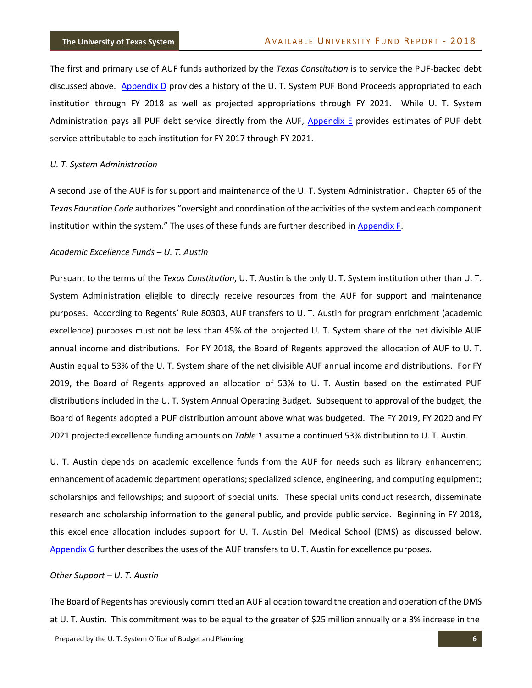The first and primary use of AUF funds authorized by the *Texas Constitution* is to service the PUF-backed debt discussed above. Appendix D provides a history of the U. T. System PUF Bond Proceeds appropriated to each institution through FY 2018 as well as projected appropriations through FY 2021. While U. T. System Administration pays all PUF debt service directly from the AUF, Appendix E provides estimates of PUF debt service attributable to each institution for FY 2017 through FY 2021.

#### *U. T. System Administration*

A second use of the AUF is for support and maintenance of the U. T. System Administration. Chapter 65 of the *Texas Education Code* authorizes "oversight and coordination of the activities of the system and each component institution within the system." The uses of these funds are further described in Appendix F.

#### *Academic Excellence Funds – U. T. Austin*

Pursuant to the terms of the *Texas Constitution*, U. T. Austin is the only U. T. System institution other than U. T. System Administration eligible to directly receive resources from the AUF for support and maintenance purposes. According to Regents' Rule 80303, AUF transfers to U. T. Austin for program enrichment (academic excellence) purposes must not be less than 45% of the projected U. T. System share of the net divisible AUF annual income and distributions. For FY 2018, the Board of Regents approved the allocation of AUF to U. T. Austin equal to 53% of the U. T. System share of the net divisible AUF annual income and distributions. For FY 2019, the Board of Regents approved an allocation of 53% to U. T. Austin based on the estimated PUF distributions included in the U. T. System Annual Operating Budget. Subsequent to approval of the budget, the Board of Regents adopted a PUF distribution amount above what was budgeted. The FY 2019, FY 2020 and FY 2021 projected excellence funding amounts on *Table 1* assume a continued 53% distribution to U. T. Austin.

U. T. Austin depends on academic excellence funds from the AUF for needs such as library enhancement; enhancement of academic department operations; specialized science, engineering, and computing equipment; scholarships and fellowships; and support of special units. These special units conduct research, disseminate research and scholarship information to the general public, and provide public service. Beginning in FY 2018, this excellence allocation includes support for U. T. Austin Dell Medical School (DMS) as discussed below. Appendix G further describes the uses of the AUF transfers to U. T. Austin for excellence purposes.

#### *Other Support – U. T. Austin*

The Board of Regents has previously committed an AUF allocation toward the creation and operation of the DMS at U. T. Austin. This commitment was to be equal to the greater of \$25 million annually or a 3% increase in the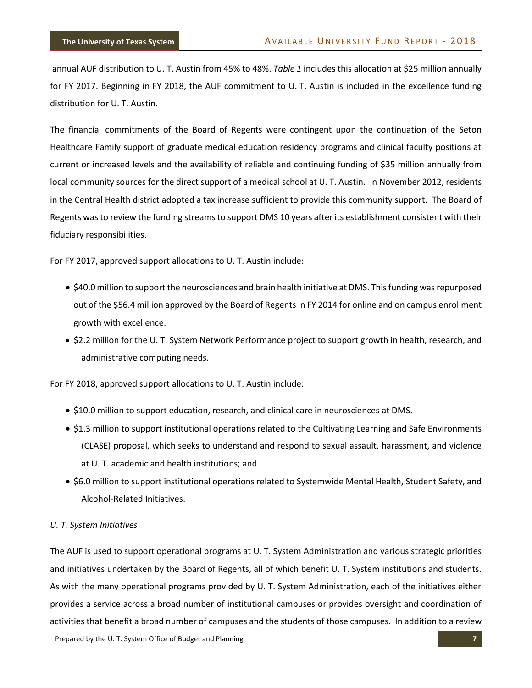annual AUF distribution to U. T. Austin from 45% to 48%. *Table 1* includes this allocation at \$25 million annually for FY 2017. Beginning in FY 2018, the AUF commitment to U. T. Austin is included in the excellence funding distribution for U. T. Austin.

The financial commitments of the Board of Regents were contingent upon the continuation of the Seton Healthcare Family support of graduate medical education residency programs and clinical faculty positions at current or increased levels and the availability of reliable and continuing funding of \$35 million annually from local community sources for the direct support of a medical school at U. T. Austin. In November 2012, residents in the Central Health district adopted a tax increase sufficient to provide this community support. The Board of Regents was to review the funding streams to support DMS 10 years after its establishment consistent with their fiduciary responsibilities.

For FY 2017, approved support allocations to U. T. Austin include:

- \$40.0 million to support the neurosciences and brain health initiative at DMS. This funding was repurposed out of the \$56.4 million approved by the Board of Regents in FY 2014 for online and on campus enrollment growth with excellence.
- \$2.2 million for the U. T. System Network Performance project to support growth in health, research, and administrative computing needs.

For FY 2018, approved support allocations to U. T. Austin include:

- \$10.0 million to support education, research, and clinical care in neurosciences at DMS.
- \$1.3 million to support institutional operations related to the Cultivating Learning and Safe Environments (CLASE) proposal, which seeks to understand and respond to sexual assault, harassment, and violence at U. T. academic and health institutions; and
- \$6.0 million to support institutional operations related to Systemwide Mental Health, Student Safety, and Alcohol-Related Initiatives.

#### *U. T. System Initiatives*

The AUF is used to support operational programs at U. T. System Administration and various strategic priorities and initiatives undertaken by the Board of Regents, all of which benefit U. T. System institutions and students. As with the many operational programs provided by U. T. System Administration, each of the initiatives either provides a service across a broad number of institutional campuses or provides oversight and coordination of activities that benefit a broad number of campuses and the students of those campuses. In addition to a review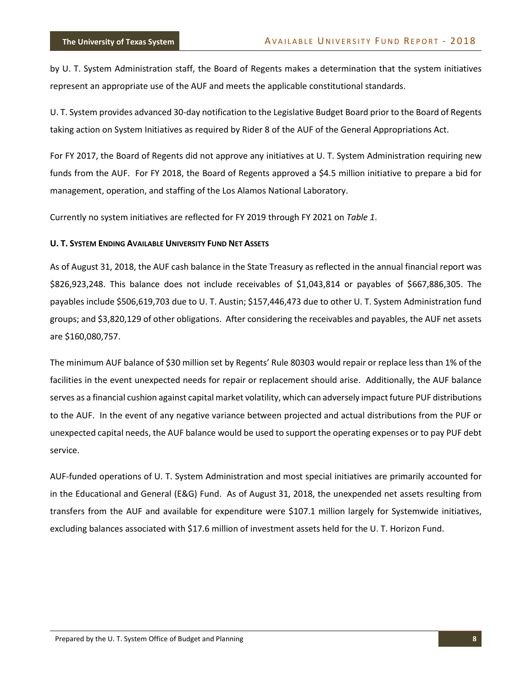by U. T. System Administration staff, the Board of Regents makes a determination that the system initiatives represent an appropriate use of the AUF and meets the applicable constitutional standards.

U. T. System provides advanced 30-day notification to the Legislative Budget Board prior to the Board of Regents taking action on System Initiatives as required by Rider 8 of the AUF of the General Appropriations Act.

For FY 2017, the Board of Regents did not approve any initiatives at U. T. System Administration requiring new funds from the AUF. For FY 2018, the Board of Regents approved a \$4.5 million initiative to prepare a bid for management, operation, and staffing of the Los Alamos National Laboratory.

Currently no system initiatives are reflected for FY 2019 through FY 2021 on *Table 1*.

#### <span id="page-10-0"></span>**U. T. SYSTEM ENDING AVAILABLE UNIVERSITY FUND NET ASSETS**

As of August 31, 2018, the AUF cash balance in the State Treasury as reflected in the annual financial report was \$826,923,248. This balance does not include receivables of \$1,043,814 or payables of \$667,886,305. The payables include \$506,619,703 due to U. T. Austin; \$157,446,473 due to other U. T. System Administration fund groups; and \$3,820,129 of other obligations. After considering the receivables and payables, the AUF net assets are \$160,080,757.

The minimum AUF balance of \$30 million set by Regents' Rule 80303 would repair or replace less than 1% of the facilities in the event unexpected needs for repair or replacement should arise. Additionally, the AUF balance serves as a financial cushion against capital market volatility, which can adversely impact future PUF distributions to the AUF. In the event of any negative variance between projected and actual distributions from the PUF or unexpected capital needs, the AUF balance would be used to support the operating expenses or to pay PUF debt service.

AUF-funded operations of U. T. System Administration and most special initiatives are primarily accounted for in the Educational and General (E&G) Fund. As of August 31, 2018, the unexpended net assets resulting from transfers from the AUF and available for expenditure were \$107.1 million largely for Systemwide initiatives, excluding balances associated with \$17.6 million of investment assets held for the U. T. Horizon Fund.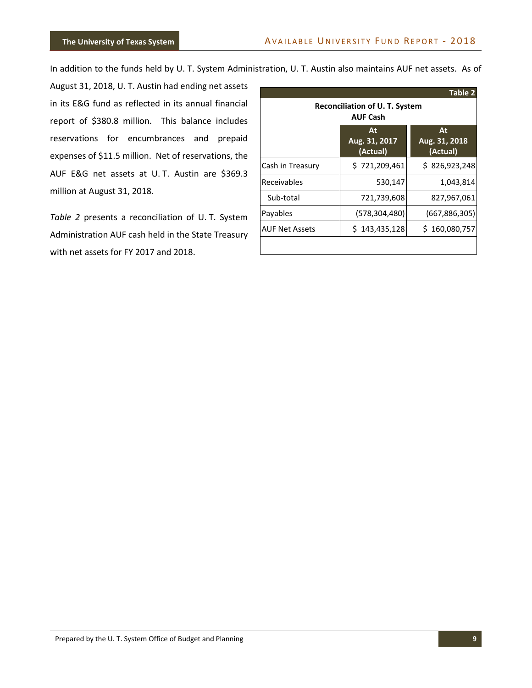In addition to the funds held by U. T. System Administration, U. T. Austin also maintains AUF net assets. As of

August 31, 2018, U. T. Austin had ending net assets in its E&G fund as reflected in its annual financial report of \$380.8 million. This balance includes reservations for encumbrances and prepaid expenses of \$11.5 million. Net of reservations, the AUF E&G net assets at U. T. Austin are \$369.3 million at August 31, 2018.

*Table 2* presents a reconciliation of U. T. System Administration AUF cash held in the State Treasury with net assets for FY 2017 and 2018.

|                                                          |                                 | <b>Table 2</b>                  |  |  |  |
|----------------------------------------------------------|---------------------------------|---------------------------------|--|--|--|
| <b>Reconciliation of U. T. System</b><br><b>AUF Cash</b> |                                 |                                 |  |  |  |
|                                                          | At<br>Aug. 31, 2017<br>(Actual) | At<br>Aug. 31, 2018<br>(Actual) |  |  |  |
| Cash in Treasury                                         | \$721,209,461                   | \$826,923,248                   |  |  |  |
| Receivables                                              | 530,147                         | 1,043,814                       |  |  |  |
| Sub-total                                                | 721,739,608                     | 827,967,061                     |  |  |  |
| Payables                                                 | (578, 304, 480)                 | (667, 886, 305)                 |  |  |  |
| <b>AUF Net Assets</b>                                    | \$143,435,128                   | \$160,080,757                   |  |  |  |
|                                                          |                                 |                                 |  |  |  |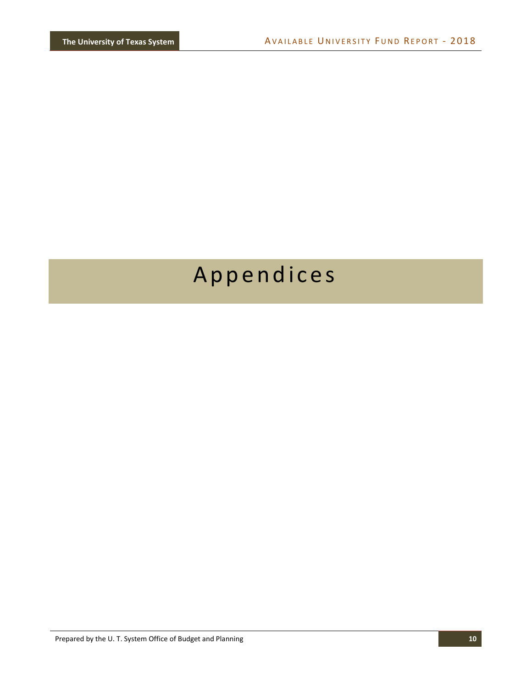# <span id="page-12-0"></span>Appendices

Prepared by the U. T. System Office of Budget and Planning **10**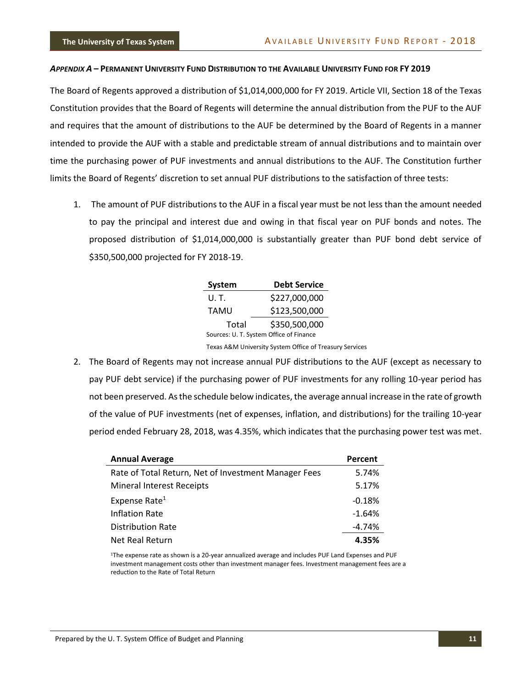#### <span id="page-13-0"></span>APPENDIX A - PERMANENT UNIVERSITY FUND DISTRIBUTION TO THE AVAILABLE UNIVERSITY FUND FOR FY 2019

The Board of Regents approved a distribution of \$1,014,000,000 for FY 2019. Article VII, Section 18 of the Texas Constitution provides that the Board of Regents will determine the annual distribution from the PUF to the AUF and requires that the amount of distributions to the AUF be determined by the Board of Regents in a manner intended to provide the AUF with a stable and predictable stream of annual distributions and to maintain over time the purchasing power of PUF investments and annual distributions to the AUF. The Constitution further limits the Board of Regents' discretion to set annual PUF distributions to the satisfaction of three tests:

1. The amount of PUF distributions to the AUF in a fiscal year must be not less than the amount needed to pay the principal and interest due and owing in that fiscal year on PUF bonds and notes. The proposed distribution of \$1,014,000,000 is substantially greater than PUF bond debt service of \$350,500,000 projected for FY 2018-19.

| System                                  | <b>Debt Service</b> |  |  |  |  |
|-----------------------------------------|---------------------|--|--|--|--|
| U. T.                                   | \$227,000,000       |  |  |  |  |
| TAMU                                    | \$123,500,000       |  |  |  |  |
| Total                                   | \$350,500,000       |  |  |  |  |
| Sources: U. T. System Office of Finance |                     |  |  |  |  |

Texas A&M University System Office of Treasury Services

2. The Board of Regents may not increase annual PUF distributions to the AUF (except as necessary to pay PUF debt service) if the purchasing power of PUF investments for any rolling 10-year period has not been preserved. As the schedule below indicates, the average annual increase in the rate of growth of the value of PUF investments (net of expenses, inflation, and distributions) for the trailing 10-year period ended February 28, 2018, was 4.35%, which indicates that the purchasing power test was met.

| <b>Annual Average</b>                                | Percent  |
|------------------------------------------------------|----------|
| Rate of Total Return, Net of Investment Manager Fees | 5.74%    |
| <b>Mineral Interest Receipts</b>                     | 5.17%    |
| Expense Rate <sup>1</sup>                            | $-0.18%$ |
| <b>Inflation Rate</b>                                | $-1.64%$ |
| <b>Distribution Rate</b>                             | $-4.74%$ |
| Net Real Return                                      | 4.35%    |

<sup>1</sup>The expense rate as shown is a 20-year annualized average and includes PUF Land Expenses and PUF investment management costs other than investment manager fees. Investment management fees are a reduction to the Rate of Total Return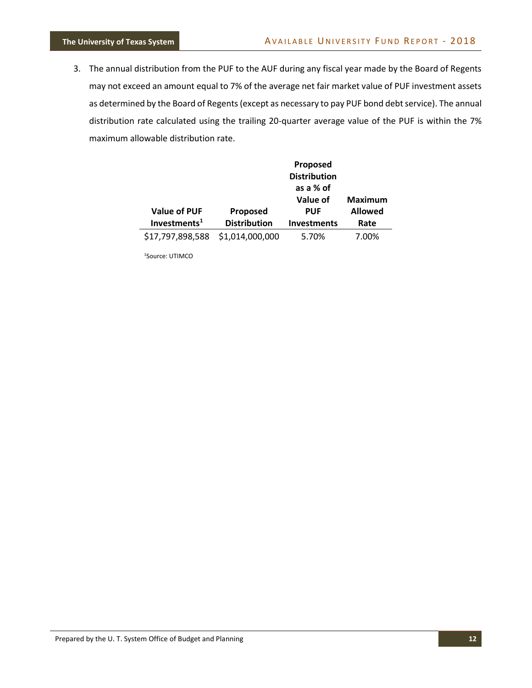3. The annual distribution from the PUF to the AUF during any fiscal year made by the Board of Regents may not exceed an amount equal to 7% of the average net fair market value of PUF investment assets as determined by the Board of Regents (except as necessary to pay PUF bond debt service). The annual distribution rate calculated using the trailing 20-quarter average value of the PUF is within the 7% maximum allowable distribution rate.

|                     |                     | Proposed<br><b>Distribution</b><br>as a % of |                                  |
|---------------------|---------------------|----------------------------------------------|----------------------------------|
| <b>Value of PUF</b> | Proposed            | Value of<br><b>PUF</b>                       | <b>Maximum</b><br><b>Allowed</b> |
| Investments $1$     | <b>Distribution</b> | <b>Investments</b>                           | Rate                             |
| \$17,797,898,588    | \$1,014,000,000     | 5.70%                                        | 7.00%                            |

1Source: UTIMCO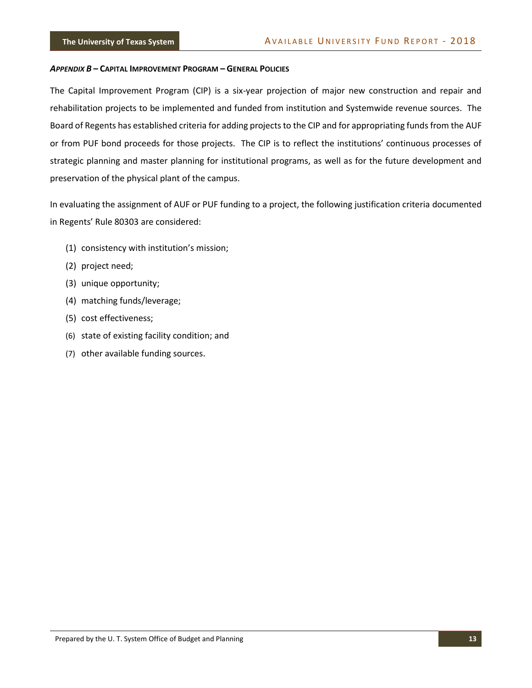#### <span id="page-15-0"></span>*APPENDIX B* **– CAPITAL IMPROVEMENT PROGRAM – GENERAL POLICIES**

The Capital Improvement Program (CIP) is a six-year projection of major new construction and repair and rehabilitation projects to be implemented and funded from institution and Systemwide revenue sources. The Board of Regents has established criteria for adding projects to the CIP and for appropriating funds from the AUF or from PUF bond proceeds for those projects. The CIP is to reflect the institutions' continuous processes of strategic planning and master planning for institutional programs, as well as for the future development and preservation of the physical plant of the campus.

In evaluating the assignment of AUF or PUF funding to a project, the following justification criteria documented in Regents' Rule 80303 are considered:

- (1) consistency with institution's mission;
- (2) project need;
- (3) unique opportunity;
- (4) matching funds/leverage;
- (5) cost effectiveness;
- (6) state of existing facility condition; and
- (7) other available funding sources.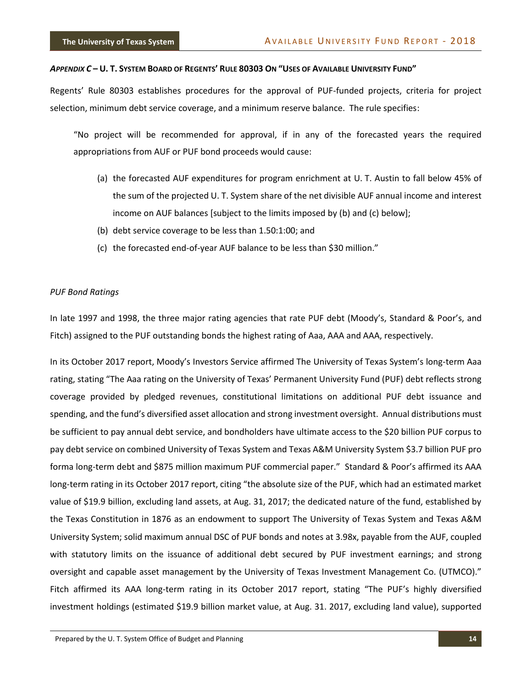#### <span id="page-16-0"></span>APPENDIX C-U. T. SYSTEM BOARD OF REGENTS' RULE 80303 ON "USES OF AVAILABLE UNIVERSITY FUND"

Regents' Rule 80303 establishes procedures for the approval of PUF-funded projects, criteria for project selection, minimum debt service coverage, and a minimum reserve balance. The rule specifies:

"No project will be recommended for approval, if in any of the forecasted years the required appropriations from AUF or PUF bond proceeds would cause:

- (a) the forecasted AUF expenditures for program enrichment at U. T. Austin to fall below 45% of the sum of the projected U. T. System share of the net divisible AUF annual income and interest income on AUF balances [subject to the limits imposed by (b) and (c) below];
- (b) debt service coverage to be less than 1.50:1:00; and
- (c) the forecasted end-of-year AUF balance to be less than \$30 million."

#### *PUF Bond Ratings*

In late 1997 and 1998, the three major rating agencies that rate PUF debt (Moody's, Standard & Poor's, and Fitch) assigned to the PUF outstanding bonds the highest rating of Aaa, AAA and AAA, respectively.

In its October 2017 report, Moody's Investors Service affirmed The University of Texas System's long-term Aaa rating, stating "The Aaa rating on the University of Texas' Permanent University Fund (PUF) debt reflects strong coverage provided by pledged revenues, constitutional limitations on additional PUF debt issuance and spending, and the fund's diversified asset allocation and strong investment oversight. Annual distributions must be sufficient to pay annual debt service, and bondholders have ultimate access to the \$20 billion PUF corpus to pay debt service on combined University of Texas System and Texas A&M University System \$3.7 billion PUF pro forma long-term debt and \$875 million maximum PUF commercial paper." Standard & Poor's affirmed its AAA long-term rating in its October 2017 report, citing "the absolute size of the PUF, which had an estimated market value of \$19.9 billion, excluding land assets, at Aug. 31, 2017; the dedicated nature of the fund, established by the Texas Constitution in 1876 as an endowment to support The University of Texas System and Texas A&M University System; solid maximum annual DSC of PUF bonds and notes at 3.98x, payable from the AUF, coupled with statutory limits on the issuance of additional debt secured by PUF investment earnings; and strong oversight and capable asset management by the University of Texas Investment Management Co. (UTMCO)." Fitch affirmed its AAA long-term rating in its October 2017 report, stating "The PUF's highly diversified investment holdings (estimated \$19.9 billion market value, at Aug. 31. 2017, excluding land value), supported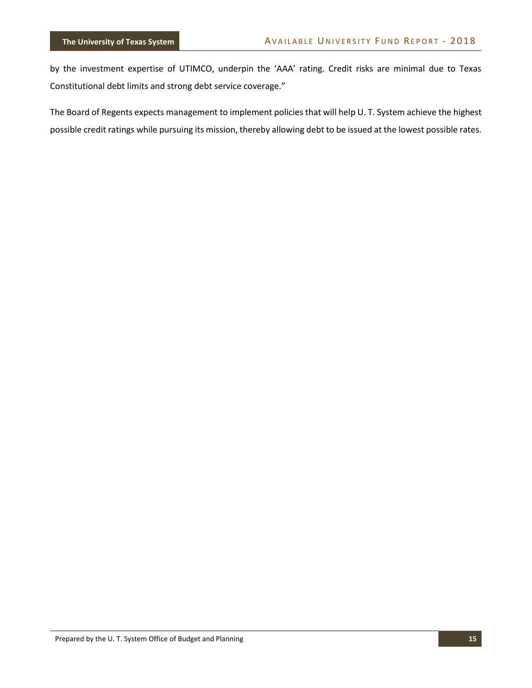by the investment expertise of UTIMCO, underpin the 'AAA' rating. Credit risks are minimal due to Texas Constitutional debt limits and strong debt service coverage."

The Board of Regents expects management to implement policies that will help U. T. System achieve the highest possible credit ratings while pursuing its mission, thereby allowing debt to be issued at the lowest possible rates.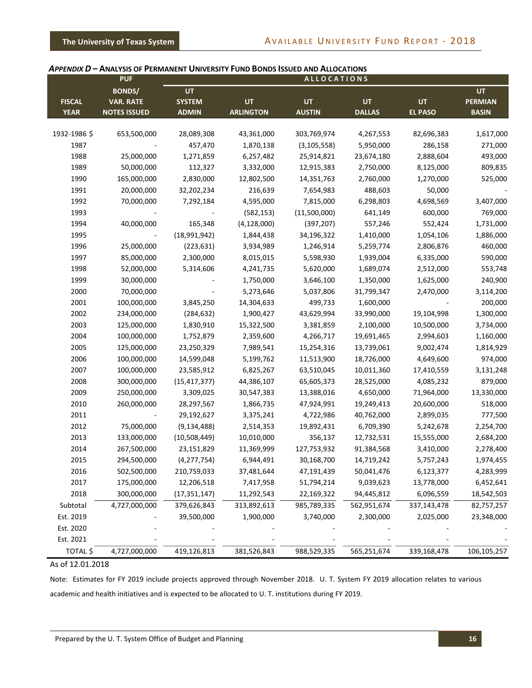#### <span id="page-18-0"></span>*APPENDIX D* **– ANALYSIS OF PERMANENT UNIVERSITY FUND BONDS ISSUED AND ALLOCATIONS**

|               | <b>PUF</b>          |                |                  | <b>ALLOCATIONS</b> |               |                |                |
|---------------|---------------------|----------------|------------------|--------------------|---------------|----------------|----------------|
|               | <b>BONDS/</b>       | UT             |                  |                    |               |                | UT             |
| <b>FISCAL</b> | <b>VAR. RATE</b>    | <b>SYSTEM</b>  | <b>UT</b>        | <b>UT</b>          | <b>UT</b>     | UT             | <b>PERMIAN</b> |
| <b>YEAR</b>   | <b>NOTES ISSUED</b> | <b>ADMIN</b>   | <b>ARLINGTON</b> | <b>AUSTIN</b>      | <b>DALLAS</b> | <b>EL PASO</b> | <b>BASIN</b>   |
|               |                     |                |                  |                    |               |                |                |
| 1932-1986 \$  | 653,500,000         | 28,089,308     | 43,361,000       | 303,769,974        | 4,267,553     | 82,696,383     | 1,617,000      |
| 1987          |                     | 457,470        | 1,870,138        | (3, 105, 558)      | 5,950,000     | 286,158        | 271,000        |
| 1988          | 25,000,000          | 1,271,859      | 6,257,482        | 25,914,821         | 23,674,180    | 2,888,604      | 493,000        |
| 1989          | 50,000,000          | 112,327        | 3,332,000        | 12,915,383         | 2,750,000     | 8,125,000      | 809,835        |
| 1990          | 165,000,000         | 2,830,000      | 12,802,500       | 14,351,763         | 2,760,000     | 1,270,000      | 525,000        |
| 1991          | 20,000,000          | 32,202,234     | 216,639          | 7,654,983          | 488,603       | 50,000         |                |
| 1992          | 70,000,000          | 7,292,184      | 4,595,000        | 7,815,000          | 6,298,803     | 4,698,569      | 3,407,000      |
| 1993          |                     |                | (582, 153)       | (11,500,000)       | 641,149       | 600,000        | 769,000        |
| 1994          | 40,000,000          | 165,348        | (4, 128, 000)    | (397, 207)         | 557,246       | 552,424        | 1,731,000      |
| 1995          |                     | (18,991,942)   | 1,844,438        | 34,196,322         | 1,410,000     | 1,054,106      | 1,886,000      |
| 1996          | 25,000,000          | (223, 631)     | 3,934,989        | 1,246,914          | 5,259,774     | 2,806,876      | 460,000        |
| 1997          | 85,000,000          | 2,300,000      | 8,015,015        | 5,598,930          | 1,939,004     | 6,335,000      | 590,000        |
| 1998          | 52,000,000          | 5,314,606      | 4,241,735        | 5,620,000          | 1,689,074     | 2,512,000      | 553,748        |
| 1999          | 30,000,000          |                | 1,750,000        | 3,646,100          | 1,350,000     | 1,625,000      | 240,900        |
| 2000          | 70,000,000          |                | 5,273,646        | 5,037,806          | 31,799,347    | 2,470,000      | 3,114,200      |
| 2001          | 100,000,000         | 3,845,250      | 14,304,633       | 499,733            | 1,600,000     |                | 200,000        |
| 2002          | 234,000,000         | (284, 632)     | 1,900,427        | 43,629,994         | 33,990,000    | 19,104,998     | 1,300,000      |
| 2003          | 125,000,000         | 1,830,910      | 15,322,500       | 3,381,859          | 2,100,000     | 10,500,000     | 3,734,000      |
| 2004          | 100,000,000         | 1,752,879      | 2,359,600        | 4,266,717          | 19,691,465    | 2,994,603      | 1,160,000      |
| 2005          | 125,000,000         | 23,250,329     | 7,989,541        | 15,254,316         | 13,739,061    | 9,002,474      | 1,814,929      |
| 2006          | 100,000,000         | 14,599,048     | 5,199,762        | 11,513,900         | 18,726,000    | 4,649,600      | 974,000        |
| 2007          | 100,000,000         | 23,585,912     | 6,825,267        | 63,510,045         | 10,011,360    | 17,410,559     | 3,131,248      |
| 2008          | 300,000,000         | (15, 417, 377) | 44,386,107       | 65,605,373         | 28,525,000    | 4,085,232      | 879,000        |
| 2009          | 250,000,000         | 3,309,025      | 30,547,383       | 13,388,016         | 4,650,000     | 71,964,000     | 13,330,000     |
| 2010          | 260,000,000         | 28,297,567     | 1,866,735        | 47,924,991         | 19,249,413    | 20,600,000     | 518,000        |
| 2011          |                     | 29,192,627     | 3,375,241        | 4,722,986          | 40,762,000    | 2,899,035      | 777,500        |
| 2012          | 75,000,000          | (9, 134, 488)  | 2,514,353        | 19,892,431         | 6,709,390     | 5,242,678      | 2,254,700      |
| 2013          | 133,000,000         | (10,508,449)   | 10,010,000       | 356,137            | 12,732,531    | 15,555,000     | 2,684,200      |
| 2014          | 267,500,000         | 23,151,829     | 11,369,999       | 127,753,932        | 91,384,568    | 3,410,000      | 2,278,400      |
| 2015          | 294,500,000         | (4, 277, 754)  | 6,944,491        | 30,168,700         | 14,719,242    | 5,757,243      | 1,974,455      |
| 2016          | 502,500,000         | 210,759,033    | 37,481,644       | 47,191,439         | 50,041,476    | 6,123,377      | 4,283,999      |
| 2017          | 175,000,000         | 12,206,518     | 7,417,958        | 51,794,214         | 9,039,623     | 13,778,000     | 6,452,641      |
| 2018          | 300,000,000         | (17, 351, 147) | 11,292,543       | 22,169,322         | 94,445,812    | 6,096,559      | 18,542,503     |
| Subtotal      | 4,727,000,000       | 379,626,843    | 313,892,613      | 985,789,335        | 562,951,674   | 337,143,478    | 82,757,257     |
| Est. 2019     |                     | 39,500,000     | 1,900,000        | 3,740,000          | 2,300,000     | 2,025,000      | 23,348,000     |
| Est. 2020     |                     |                |                  |                    |               |                |                |
| Est. 2021     |                     |                |                  |                    |               |                |                |
| TOTAL \$      | 4,727,000,000       | 419,126,813    | 381,526,843      | 988,529,335        | 565,251,674   | 339,168,478    | 106,105,257    |

#### As of 12.01.2018

Note: Estimates for FY 2019 include projects approved through November 2018. U. T. System FY 2019 allocation relates to various academic and health initiatives and is expected to be allocated to U. T. institutions during FY 2019.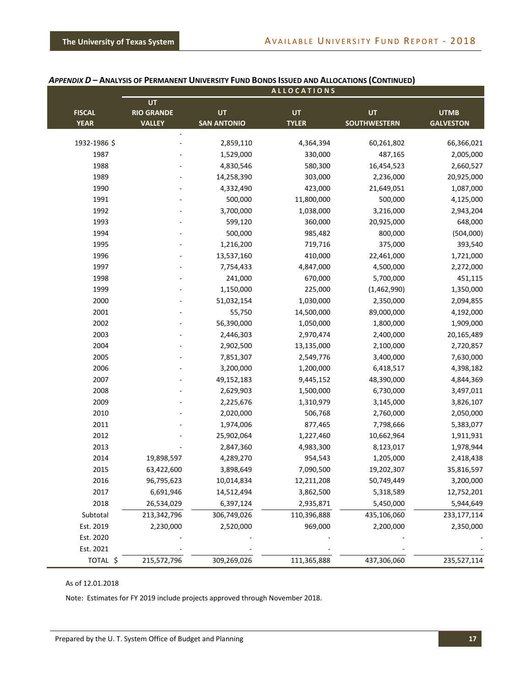|               |                          |                    | <b>ALLOCATIONS</b> |                     |                  |
|---------------|--------------------------|--------------------|--------------------|---------------------|------------------|
|               | UT                       |                    |                    |                     |                  |
| <b>FISCAL</b> | <b>RIO GRANDE</b>        | UT                 | <b>UT</b>          | <b>UT</b>           | <b>UTMB</b>      |
| <b>YEAR</b>   | <b>VALLEY</b>            | <b>SAN ANTONIO</b> | <b>TYLER</b>       | <b>SOUTHWESTERN</b> | <b>GALVESTON</b> |
| 1932-1986 \$  | $\overline{\phantom{a}}$ | 2,859,110          | 4,364,394          | 60,261,802          | 66,366,021       |
| 1987          |                          | 1,529,000          | 330,000            | 487,165             | 2,005,000        |
| 1988          |                          | 4,830,546          | 580,300            | 16,454,523          | 2,660,527        |
| 1989          |                          | 14,258,390         | 303,000            | 2,236,000           | 20,925,000       |
| 1990          |                          | 4,332,490          | 423,000            | 21,649,051          | 1,087,000        |
|               |                          | 500,000            |                    |                     |                  |
| 1991          |                          | 3,700,000          | 11,800,000         | 500,000             | 4,125,000        |
| 1992          |                          |                    | 1,038,000          | 3,216,000           | 2,943,204        |
| 1993          |                          | 599,120            | 360,000            | 20,925,000          | 648,000          |
| 1994          |                          | 500,000            | 985,482            | 800,000             | (504,000)        |
| 1995          |                          | 1,216,200          | 719,716            | 375,000             | 393,540          |
| 1996          |                          | 13,537,160         | 410,000            | 22,461,000          | 1,721,000        |
| 1997          |                          | 7,754,433          | 4,847,000          | 4,500,000           | 2,272,000        |
| 1998          |                          | 241,000            | 670,000            | 5,700,000           | 451,115          |
| 1999          |                          | 1,150,000          | 225,000            | (1,462,990)         | 1,350,000        |
| 2000          |                          | 51,032,154         | 1,030,000          | 2,350,000           | 2,094,855        |
| 2001          |                          | 55,750             | 14,500,000         | 89,000,000          | 4,192,000        |
| 2002          |                          | 56,390,000         | 1,050,000          | 1,800,000           | 1,909,000        |
| 2003          |                          | 2,446,303          | 2,970,474          | 2,400,000           | 20,165,489       |
| 2004          |                          | 2,902,500          | 13,135,000         | 2,100,000           | 2,720,857        |
| 2005          |                          | 7,851,307          | 2,549,776          | 3,400,000           | 7,630,000        |
| 2006          |                          | 3,200,000          | 1,200,000          | 6,418,517           | 4,398,182        |
| 2007          |                          | 49,152,183         | 9,445,152          | 48,390,000          | 4,844,369        |
| 2008          |                          | 2,629,903          | 1,500,000          | 6,730,000           | 3,497,011        |
| 2009          |                          | 2,225,676          | 1,310,979          | 3,145,000           | 3,826,107        |
| 2010          |                          | 2,020,000          | 506,768            | 2,760,000           | 2,050,000        |
| 2011          |                          | 1,974,006          | 877,465            | 7,798,666           | 5,383,077        |
| 2012          |                          | 25,902,064         | 1,227,460          | 10,662,964          | 1,911,931        |
| 2013          |                          | 2,847,360          | 4,983,300          | 8,123,017           | 1,978,944        |
| 2014          | 19,898,597               | 4,289,270          | 954,543            | 1,205,000           | 2,418,438        |
| 2015          | 63,422,600               | 3,898,649          | 7,090,500          | 19,202,307          | 35,816,597       |
| 2016          | 96,795,623               | 10,014,834         | 12,211,208         | 50,749,449          | 3,200,000        |
| 2017          | 6,691,946                | 14,512,494         | 3,862,500          | 5,318,589           | 12,752,201       |
| 2018          | 26,534,029               | 6,397,124          | 2,935,871          | 5,450,000           | 5,944,649        |
| Subtotal      | 213,342,796              | 306,749,026        | 110,396,888        | 435,106,060         | 233,177,114      |
| Est. 2019     | 2,230,000                | 2,520,000          | 969,000            | 2,200,000           | 2,350,000        |
| Est. 2020     |                          |                    |                    |                     |                  |
| Est. 2021     |                          |                    |                    |                     |                  |
| TOTAL \$      | 215,572,796              | 309,269,026        | 111,365,888        | 437,306,060         | 235,527,114      |

#### APPENDIX D - ANALYSIS OF PERMANENT UNIVERSITY FUND BONDS ISSUED AND ALLOCATIONS (CONTINUED)

#### As of 12.01.2018

Note: Estimates for FY 2019 include projects approved through November 2018.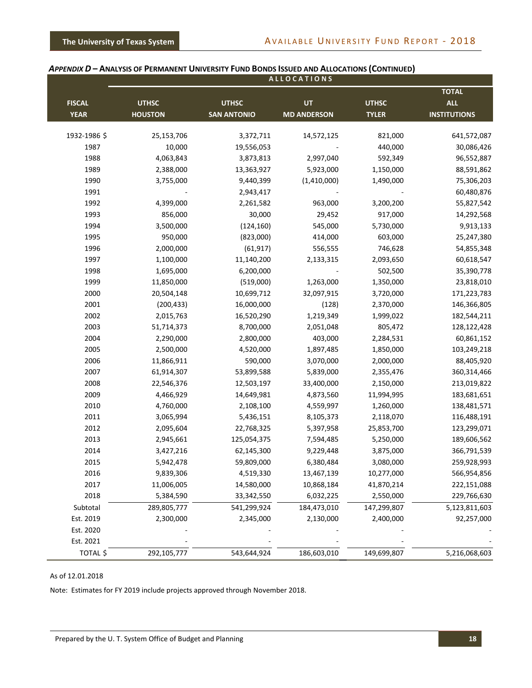|               |                |                    | <b>ALLOCATIONS</b> |              |                     |
|---------------|----------------|--------------------|--------------------|--------------|---------------------|
|               |                |                    |                    |              | <b>TOTAL</b>        |
| <b>FISCAL</b> | <b>UTHSC</b>   | <b>UTHSC</b>       | UT                 | <b>UTHSC</b> | <b>ALL</b>          |
| <b>YEAR</b>   | <b>HOUSTON</b> | <b>SAN ANTONIO</b> | <b>MD ANDERSON</b> | <b>TYLER</b> | <b>INSTITUTIONS</b> |
| 1932-1986 \$  | 25,153,706     | 3,372,711          | 14,572,125         | 821,000      | 641,572,087         |
| 1987          | 10,000         | 19,556,053         |                    | 440,000      | 30,086,426          |
| 1988          | 4,063,843      | 3,873,813          | 2,997,040          | 592,349      | 96,552,887          |
| 1989          | 2,388,000      | 13,363,927         | 5,923,000          | 1,150,000    | 88,591,862          |
| 1990          | 3,755,000      | 9,440,399          | (1,410,000)        | 1,490,000    | 75,306,203          |
| 1991          |                | 2,943,417          |                    |              | 60,480,876          |
| 1992          | 4,399,000      | 2,261,582          | 963,000            | 3,200,200    | 55,827,542          |
| 1993          | 856,000        | 30,000             | 29,452             | 917,000      | 14,292,568          |
| 1994          | 3,500,000      | (124, 160)         | 545,000            | 5,730,000    | 9,913,133           |
| 1995          | 950,000        | (823,000)          | 414,000            | 603,000      | 25,247,380          |
| 1996          | 2,000,000      | (61, 917)          | 556,555            | 746,628      | 54,855,348          |
| 1997          | 1,100,000      | 11,140,200         |                    | 2,093,650    | 60,618,547          |
| 1998          | 1,695,000      | 6,200,000          | 2,133,315          | 502,500      |                     |
| 1999          | 11,850,000     |                    |                    |              | 35,390,778          |
| 2000          | 20,504,148     | (519,000)          | 1,263,000          | 1,350,000    | 23,818,010          |
|               |                | 10,699,712         | 32,097,915         | 3,720,000    | 171,223,783         |
| 2001          | (200, 433)     | 16,000,000         | (128)              | 2,370,000    | 146,366,805         |
| 2002          | 2,015,763      | 16,520,290         | 1,219,349          | 1,999,022    | 182,544,211         |
| 2003          | 51,714,373     | 8,700,000          | 2,051,048          | 805,472      | 128,122,428         |
| 2004          | 2,290,000      | 2,800,000          | 403,000            | 2,284,531    | 60,861,152          |
| 2005          | 2,500,000      | 4,520,000          | 1,897,485          | 1,850,000    | 103,249,218         |
| 2006          | 11,866,911     | 590,000            | 3,070,000          | 2,000,000    | 88,405,920          |
| 2007          | 61,914,307     | 53,899,588         | 5,839,000          | 2,355,476    | 360,314,466         |
| 2008          | 22,546,376     | 12,503,197         | 33,400,000         | 2,150,000    | 213,019,822         |
| 2009          | 4,466,929      | 14,649,981         | 4,873,560          | 11,994,995   | 183,681,651         |
| 2010          | 4,760,000      | 2,108,100          | 4,559,997          | 1,260,000    | 138,481,571         |
| 2011          | 3,065,994      | 5,436,151          | 8,105,373          | 2,118,070    | 116,488,191         |
| 2012          | 2,095,604      | 22,768,325         | 5,397,958          | 25,853,700   | 123,299,071         |
| 2013          | 2,945,661      | 125,054,375        | 7,594,485          | 5,250,000    | 189,606,562         |
| 2014          | 3,427,216      | 62,145,300         | 9,229,448          | 3,875,000    | 366,791,539         |
| 2015          | 5,942,478      | 59,809,000         | 6,380,484          | 3,080,000    | 259,928,993         |
| 2016          | 9,839,306      | 4,519,330          | 13,467,139         | 10,277,000   | 566,954,856         |
| 2017          | 11,006,005     | 14,580,000         | 10,868,184         | 41,870,214   | 222,151,088         |
| 2018          | 5,384,590      | 33,342,550         | 6,032,225          | 2,550,000    | 229,766,630         |
| Subtotal      | 289,805,777    | 541,299,924        | 184,473,010        | 147,299,807  | 5,123,811,603       |
| Est. 2019     | 2,300,000      | 2,345,000          | 2,130,000          | 2,400,000    | 92,257,000          |
| Est. 2020     |                |                    |                    |              |                     |
| Est. 2021     |                |                    |                    |              |                     |
| TOTAL \$      | 292,105,777    | 543,644,924        | 186,603,010        | 149,699,807  | 5,216,068,603       |

#### APPENDIX D - ANALYSIS OF PERMANENT UNIVERSITY FUND BONDS ISSUED AND ALLOCATIONS (CONTINUED)

#### As of 12.01.2018

Note: Estimates for FY 2019 include projects approved through November 2018.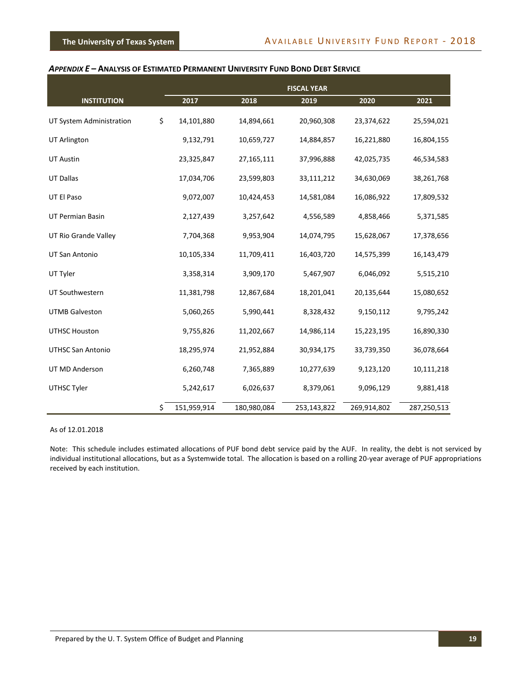#### <span id="page-21-0"></span>*APPENDIX E* **– ANALYSIS OF ESTIMATED PERMANENT UNIVERSITY FUND BOND DEBT SERVICE**

|                          | <b>FISCAL YEAR</b> |             |             |             |             |
|--------------------------|--------------------|-------------|-------------|-------------|-------------|
| <b>INSTITUTION</b>       | 2017               | 2018        | 2019        | 2020        | 2021        |
| UT System Administration | \$<br>14,101,880   | 14,894,661  | 20,960,308  | 23,374,622  | 25,594,021  |
| UT Arlington             | 9,132,791          | 10,659,727  | 14,884,857  | 16,221,880  | 16,804,155  |
| <b>UT Austin</b>         | 23,325,847         | 27,165,111  | 37,996,888  | 42,025,735  | 46,534,583  |
| <b>UT Dallas</b>         | 17,034,706         | 23,599,803  | 33,111,212  | 34,630,069  | 38,261,768  |
| UT El Paso               | 9,072,007          | 10,424,453  | 14,581,084  | 16,086,922  | 17,809,532  |
| UT Permian Basin         | 2,127,439          | 3,257,642   | 4,556,589   | 4,858,466   | 5,371,585   |
| UT Rio Grande Valley     | 7,704,368          | 9,953,904   | 14,074,795  | 15,628,067  | 17,378,656  |
| UT San Antonio           | 10,105,334         | 11,709,411  | 16,403,720  | 14,575,399  | 16,143,479  |
| UT Tyler                 | 3,358,314          | 3,909,170   | 5,467,907   | 6,046,092   | 5,515,210   |
| UT Southwestern          | 11,381,798         | 12,867,684  | 18,201,041  | 20,135,644  | 15,080,652  |
| <b>UTMB Galveston</b>    | 5,060,265          | 5,990,441   | 8,328,432   | 9,150,112   | 9,795,242   |
| <b>UTHSC Houston</b>     | 9,755,826          | 11,202,667  | 14,986,114  | 15,223,195  | 16,890,330  |
| <b>UTHSC San Antonio</b> | 18,295,974         | 21,952,884  | 30,934,175  | 33,739,350  | 36,078,664  |
| UT MD Anderson           | 6,260,748          | 7,365,889   | 10,277,639  | 9,123,120   | 10,111,218  |
| UTHSC Tyler              | 5,242,617          | 6,026,637   | 8,379,061   | 9,096,129   | 9,881,418   |
|                          | \$<br>151,959,914  | 180,980,084 | 253,143,822 | 269,914,802 | 287,250,513 |

#### As of 12.01.2018

Note: This schedule includes estimated allocations of PUF bond debt service paid by the AUF. In reality, the debt is not serviced by individual institutional allocations, but as a Systemwide total. The allocation is based on a rolling 20-year average of PUF appropriations received by each institution.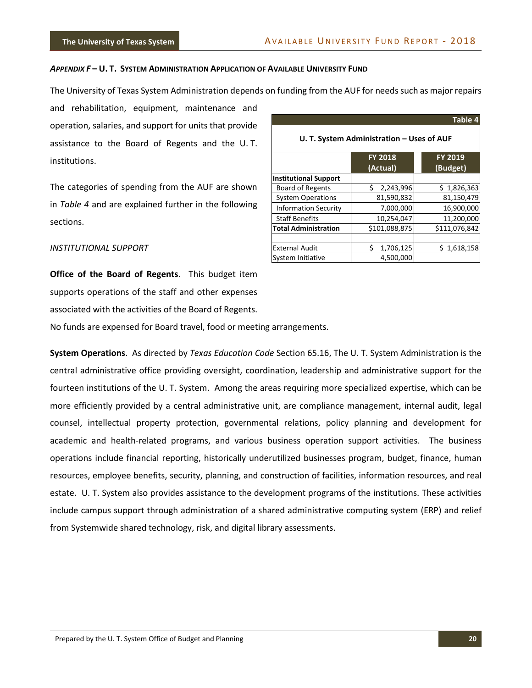#### <span id="page-22-0"></span>*APPENDIX F* **– U. T. SYSTEM ADMINISTRATION APPLICATION OF AVAILABLE UNIVERSITY FUND**

The University of Texas System Administration depends on funding from the AUF for needs such as major repairs

and rehabilitation, equipment, maintenance and operation, salaries, and support for units that provide assistance to the Board of Regents and the U. T. institutions.

The categories of spending from the AUF are shown in *Table 4* and are explained further in the following sections.

| INSTITUTIONAL SUPPORT |
|-----------------------|
|-----------------------|

**Office of the Board of Regents**. This budget item supports operations of the staff and other expenses associated with the activities of the Board of Regents. No funds are expensed for Board travel, food or meeting arrangements.

**System Operations**. As directed by *Texas Education Code* Section 65.16, The U. T. System Administration is the central administrative office providing oversight, coordination, leadership and administrative support for the fourteen institutions of the U. T. System. Among the areas requiring more specialized expertise, which can be more efficiently provided by a central administrative unit, are compliance management, internal audit, legal counsel, intellectual property protection, governmental relations, policy planning and development for academic and health-related programs, and various business operation support activities. The business operations include financial reporting, historically underutilized businesses program, budget, finance, human resources, employee benefits, security, planning, and construction of facilities, information resources, and real estate. U. T. System also provides assistance to the development programs of the institutions. These activities include campus support through administration of a shared administrative computing system (ERP) and relief from Systemwide shared technology, risk, and digital library assessments.

|                                           |                            | Table 4             |  |  |
|-------------------------------------------|----------------------------|---------------------|--|--|
| U. T. System Administration – Uses of AUF |                            |                     |  |  |
|                                           | <b>FY 2018</b><br>(Actual) | FY 2019<br>(Budget) |  |  |
| <b>Institutional Support</b>              |                            |                     |  |  |
| <b>Board of Regents</b>                   | 2,243,996<br>Ś.            | \$1,826,363         |  |  |
| <b>System Operations</b>                  | 81,590,832                 | 81,150,479          |  |  |
| <b>Information Security</b>               | 7,000,000                  | 16,900,000          |  |  |
| <b>Staff Benefits</b>                     | 10,254,047                 | 11,200,000          |  |  |
| <b>Total Administration</b>               | \$101,088,875              | \$111,076,842       |  |  |
|                                           |                            |                     |  |  |
| <b>External Audit</b>                     | \$<br>1,706,125            | \$1,618,158         |  |  |
| System Initiative                         | 4,500,000                  |                     |  |  |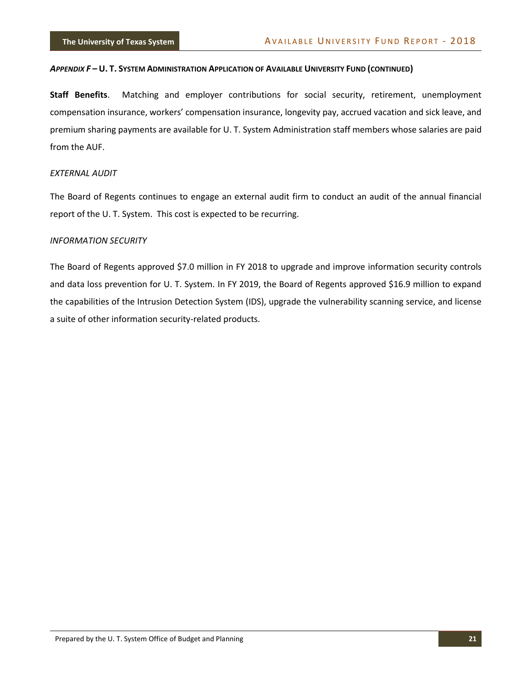#### APPENDIX F-U. T. SYSTEM ADMINISTRATION APPLICATION OF AVAILABLE UNIVERSITY FUND (CONTINUED)

**Staff Benefits**. Matching and employer contributions for social security, retirement, unemployment compensation insurance, workers' compensation insurance, longevity pay, accrued vacation and sick leave, and premium sharing payments are available for U. T. System Administration staff members whose salaries are paid from the AUF.

#### *EXTERNAL AUDIT*

The Board of Regents continues to engage an external audit firm to conduct an audit of the annual financial report of the U. T. System. This cost is expected to be recurring.

#### *INFORMATION SECURITY*

The Board of Regents approved \$7.0 million in FY 2018 to upgrade and improve information security controls and data loss prevention for U. T. System. In FY 2019, the Board of Regents approved \$16.9 million to expand the capabilities of the Intrusion Detection System (IDS), upgrade the vulnerability scanning service, and license a suite of other information security-related products.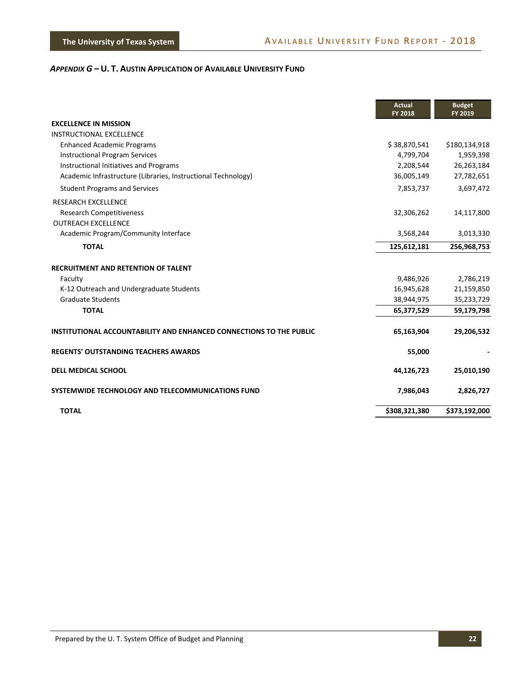<span id="page-24-0"></span>

|                                                                     | <b>Actual</b><br>FY 2018 | <b>Budget</b><br>FY 2019 |
|---------------------------------------------------------------------|--------------------------|--------------------------|
| <b>EXCELLENCE IN MISSION</b>                                        |                          |                          |
| INSTRUCTIONAL EXCELLENCE                                            |                          |                          |
| <b>Enhanced Academic Programs</b>                                   | \$38,870,541             | \$180,134,918            |
| <b>Instructional Program Services</b>                               | 4,799,704                | 1,959,398                |
| Instructional Initiatives and Programs                              | 2,208,544                | 26,263,184               |
| Academic Infrastructure (Libraries, Instructional Technology)       | 36,005,149               | 27,782,651               |
| <b>Student Programs and Services</b>                                | 7,853,737                | 3,697,472                |
| <b>RESEARCH EXCELLENCE</b>                                          |                          |                          |
| <b>Research Competitiveness</b>                                     | 32,306,262               | 14,117,800               |
| <b>OUTREACH EXCELLENCE</b>                                          |                          |                          |
| Academic Program/Community Interface                                | 3,568,244                | 3,013,330                |
| <b>TOTAL</b>                                                        | 125,612,181              | 256,968,753              |
| <b>RECRUITMENT AND RETENTION OF TALENT</b>                          |                          |                          |
| Faculty                                                             | 9,486,926                | 2,786,219                |
| K-12 Outreach and Undergraduate Students                            | 16,945,628               | 21,159,850               |
| <b>Graduate Students</b>                                            | 38,944,975               | 35,233,729               |
| <b>TOTAL</b>                                                        | 65,377,529               | 59,179,798               |
| INSTITUTIONAL ACCOUNTABILITY AND ENHANCED CONNECTIONS TO THE PUBLIC | 65,163,904               | 29,206,532               |
| <b>REGENTS' OUTSTANDING TEACHERS AWARDS</b>                         | 55,000                   |                          |
| <b>DELL MEDICAL SCHOOL</b>                                          | 44,126,723               | 25,010,190               |
| SYSTEMWIDE TECHNOLOGY AND TELECOMMUNICATIONS FUND                   | 7,986,043                | 2,826,727                |
| <b>TOTAL</b>                                                        | \$308,321,380            | \$373,192,000            |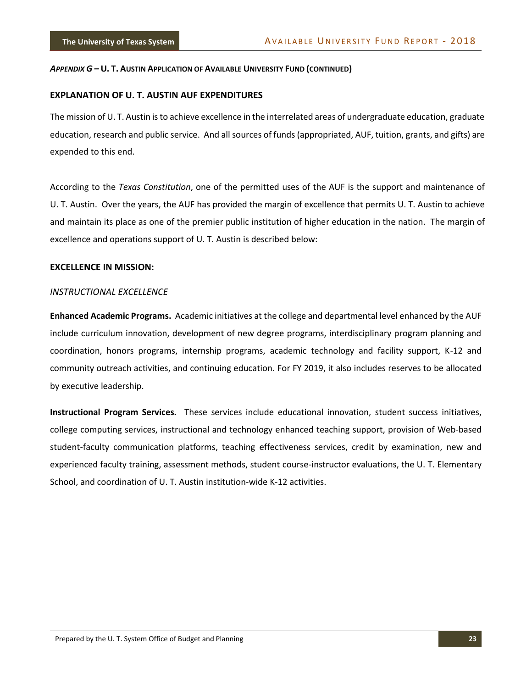#### **EXPLANATION OF U. T. AUSTIN AUF EXPENDITURES**

The mission of U. T. Austin is to achieve excellence in the interrelated areas of undergraduate education, graduate education, research and public service. And all sources of funds (appropriated, AUF, tuition, grants, and gifts) are expended to this end.

According to the *Texas Constitution*, one of the permitted uses of the AUF is the support and maintenance of U. T. Austin. Over the years, the AUF has provided the margin of excellence that permits U. T. Austin to achieve and maintain its place as one of the premier public institution of higher education in the nation. The margin of excellence and operations support of U. T. Austin is described below:

#### **EXCELLENCE IN MISSION:**

#### *INSTRUCTIONAL EXCELLENCE*

**Enhanced Academic Programs.** Academic initiatives at the college and departmental level enhanced by the AUF include curriculum innovation, development of new degree programs, interdisciplinary program planning and coordination, honors programs, internship programs, academic technology and facility support, K-12 and community outreach activities, and continuing education. For FY 2019, it also includes reserves to be allocated by executive leadership.

**Instructional Program Services.** These services include educational innovation, student success initiatives, college computing services, instructional and technology enhanced teaching support, provision of Web-based student-faculty communication platforms, teaching effectiveness services, credit by examination, new and experienced faculty training, assessment methods, student course-instructor evaluations, the U. T. Elementary School, and coordination of U. T. Austin institution-wide K-12 activities.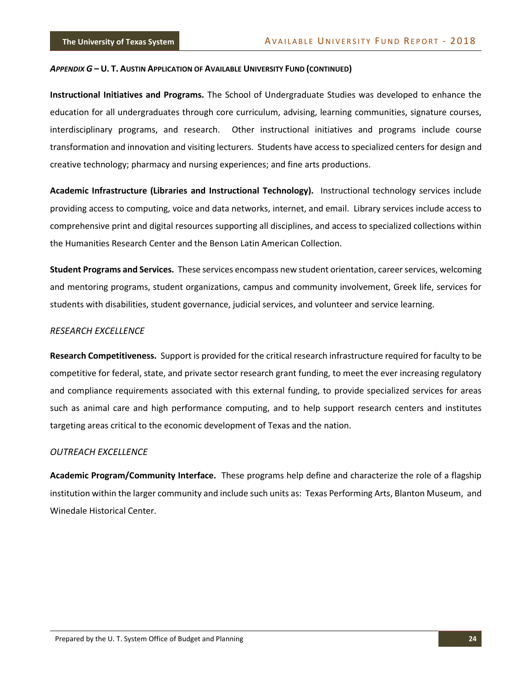**Instructional Initiatives and Programs.** The School of Undergraduate Studies was developed to enhance the education for all undergraduates through core curriculum, advising, learning communities, signature courses, interdisciplinary programs, and research. Other instructional initiatives and programs include course transformation and innovation and visiting lecturers. Students have access to specialized centers for design and creative technology; pharmacy and nursing experiences; and fine arts productions.

**Academic Infrastructure (Libraries and Instructional Technology).** Instructional technology services include providing access to computing, voice and data networks, internet, and email. Library services include access to comprehensive print and digital resources supporting all disciplines, and access to specialized collections within the Humanities Research Center and the Benson Latin American Collection.

**Student Programs and Services.** These services encompass new student orientation, career services, welcoming and mentoring programs, student organizations, campus and community involvement, Greek life, services for students with disabilities, student governance, judicial services, and volunteer and service learning.

#### *RESEARCH EXCELLENCE*

**Research Competitiveness.** Support is provided for the critical research infrastructure required for faculty to be competitive for federal, state, and private sector research grant funding, to meet the ever increasing regulatory and compliance requirements associated with this external funding, to provide specialized services for areas such as animal care and high performance computing, and to help support research centers and institutes targeting areas critical to the economic development of Texas and the nation.

#### *OUTREACH EXCELLENCE*

**Academic Program/Community Interface.** These programs help define and characterize the role of a flagship institution within the larger community and include such units as: Texas Performing Arts, Blanton Museum, and Winedale Historical Center.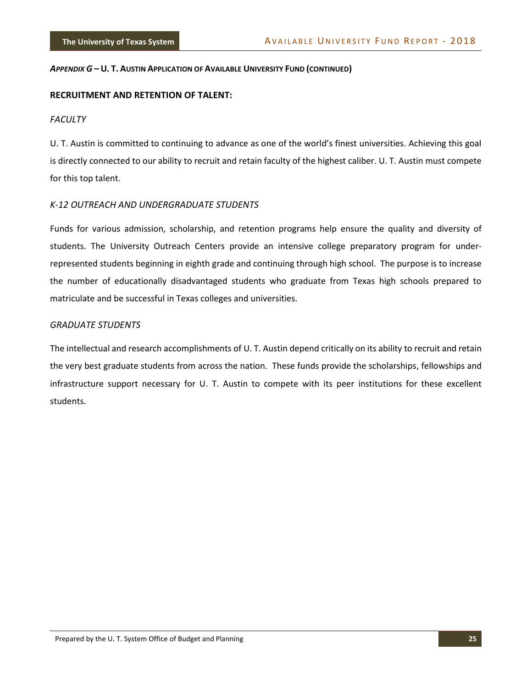#### **RECRUITMENT AND RETENTION OF TALENT:**

#### *FACULTY*

U. T. Austin is committed to continuing to advance as one of the world's finest universities. Achieving this goal is directly connected to our ability to recruit and retain faculty of the highest caliber. U. T. Austin must compete for this top talent.

#### *K-12 OUTREACH AND UNDERGRADUATE STUDENTS*

Funds for various admission, scholarship, and retention programs help ensure the quality and diversity of students. The University Outreach Centers provide an intensive college preparatory program for underrepresented students beginning in eighth grade and continuing through high school. The purpose is to increase the number of educationally disadvantaged students who graduate from Texas high schools prepared to matriculate and be successful in Texas colleges and universities.

#### *GRADUATE STUDENTS*

The intellectual and research accomplishments of U. T. Austin depend critically on its ability to recruit and retain the very best graduate students from across the nation. These funds provide the scholarships, fellowships and infrastructure support necessary for U. T. Austin to compete with its peer institutions for these excellent students.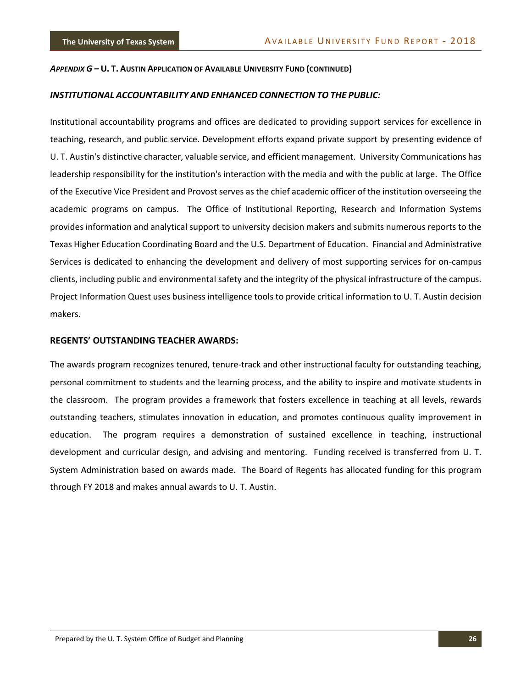#### *INSTITUTIONAL ACCOUNTABILITY AND ENHANCED CONNECTION TO THE PUBLIC:*

Institutional accountability programs and offices are dedicated to providing support services for excellence in teaching, research, and public service. Development efforts expand private support by presenting evidence of U. T. Austin's distinctive character, valuable service, and efficient management. University Communications has leadership responsibility for the institution's interaction with the media and with the public at large. The Office of the Executive Vice President and Provost serves as the chief academic officer of the institution overseeing the academic programs on campus. The Office of Institutional Reporting, Research and Information Systems provides information and analytical support to university decision makers and submits numerous reports to the Texas Higher Education Coordinating Board and the U.S. Department of Education. Financial and Administrative Services is dedicated to enhancing the development and delivery of most supporting services for on-campus clients, including public and environmental safety and the integrity of the physical infrastructure of the campus. Project Information Quest uses business intelligence tools to provide critical information to U. T. Austin decision makers.

#### **REGENTS' OUTSTANDING TEACHER AWARDS:**

The awards program recognizes tenured, tenure-track and other instructional faculty for outstanding teaching, personal commitment to students and the learning process, and the ability to inspire and motivate students in the classroom. The program provides a framework that fosters excellence in teaching at all levels, rewards outstanding teachers, stimulates innovation in education, and promotes continuous quality improvement in education. The program requires a demonstration of sustained excellence in teaching, instructional development and curricular design, and advising and mentoring. Funding received is transferred from U. T. System Administration based on awards made. The Board of Regents has allocated funding for this program through FY 2018 and makes annual awards to U. T. Austin.